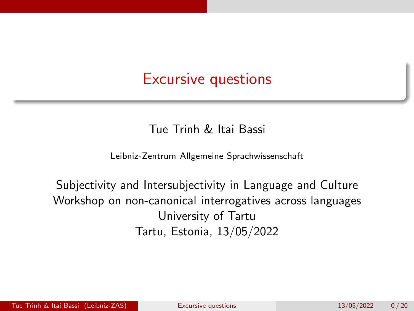### <span id="page-0-0"></span>Excursive questions

#### Tue Trinh & Itai Bassi

Leibniz-Zentrum Allgemeine Sprachwissenschaft

Subjectivity and Intersubjectivity in Language and Culture Workshop on non-canonical interrogatives across languages University of Tartu Tartu, Estonia, 13/05/2022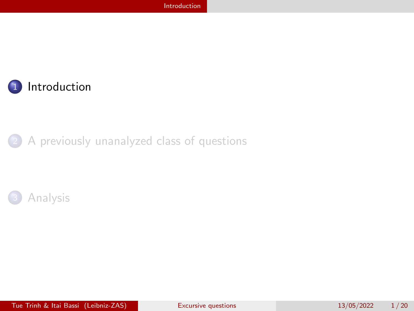<span id="page-1-0"></span>

#### 2 [A previously unanalyzed class of questions](#page-8-0)

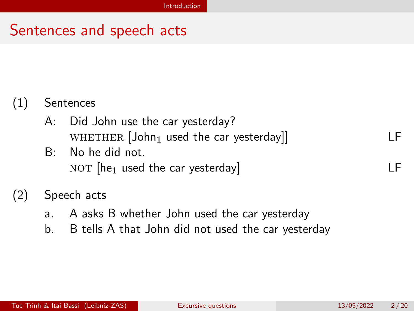### Sentences and speech acts

### (1) Sentences

- A: Did John use the car yesterday?  $WHETHER [John<sub>1</sub> used the car yesterday]$  LF
- B: No he did not.  $NOT$  [he<sub>1</sub> used the car yesterday]  $LF$

### (2) Speech acts

- a. A asks B whether John used the car yesterday
- b. B tells A that John did not used the car yesterday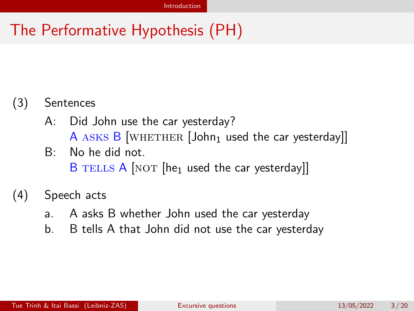# The Performative Hypothesis (PH)

### (3) Sentences

- A: Did John use the car yesterday? A ASKS B [WHETHER  $[John_1$  used the car yesterday]]
- B: No he did not. B TELLS A  $[NOT$   $[he<sub>1</sub>$  used the car yesterday]]

#### (4) Speech acts

- a. A asks B whether John used the car yesterday
- b. B tells A that John did not use the car yesterday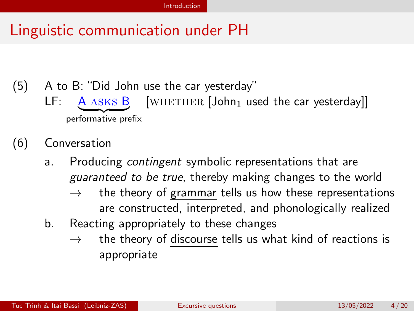### Linguistic communication under PH

- (5) A to B: "Did John use the car yesterday"  $LF: \left[ \frac{A \text{ ASKS}}{A \text{ ASKS}} \right]$  [WHETHER [John<sub>1</sub> used the car yesterday]] performative prefix
- (6) Conversation
	- a. Producing *contingent* symbolic representations that are guaranteed to be true, thereby making changes to the world
		- $\rightarrow$  the theory of grammar tells us how these representations are constructed, interpreted, and phonologically realized
	- b. Reacting appropriately to these changes
		- $\rightarrow$  the theory of discourse tells us what kind of reactions is appropriate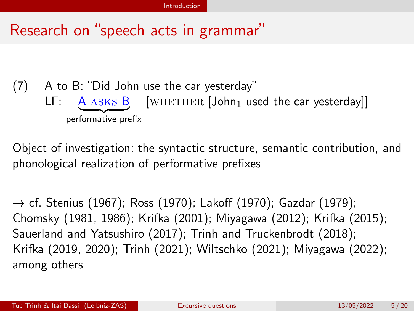### Research on "speech acts in grammar"

### (7) A to B: "Did John use the car yesterday"  $LF: \quad \underbrace{A \text{ ASKS} B}_{\sim}$  [WHETHER [John<sub>1</sub> used the car yesterday]] performative prefix

Object of investigation: the syntactic structure, semantic contribution, and phonological realization of performative prefixes

 $\rightarrow$  cf. [Stenius \(1967\)](#page-22-0); [Ross \(1970](#page-22-1)); [Lakoff \(1970](#page-22-2)); [Gazdar \(1979](#page-21-0)); [Chomsky \(1981,](#page-21-1) [1986](#page-21-2)); [Krifka \(2001](#page-21-3)); [Miyagawa \(2012\)](#page-22-3); [Krifka \(2015](#page-21-4)); [Sauerland and Yatsushiro \(2017](#page-22-4)); [Trinh and Truckenbrodt \(2018](#page-23-1)); [Krifka \(2019](#page-21-5), [2020](#page-22-5)); [Trinh \(2021](#page-23-2)); [Wiltschko \(2021](#page-23-3)); [Miyagawa \(2022](#page-22-6)); among others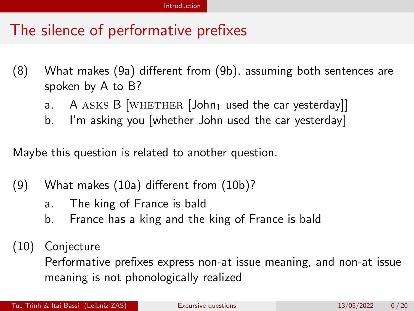### The silence of performative prefixes

- (8) What makes (9a) different from (9b), assuming both sentences are spoken by A to B?
	- a. A ASKS B [WHETHER  $[John_1$  used the car yesterday]]
	- b. I'm asking you [whether John used the car yesterday]

Maybe this question is related to another question.

- (9) What makes (10a) different from (10b)?
	- a. The king of France is bald
	- b. France has a king and the king of France is bald
- (10) Conjecture

Performative prefixes express non-at issue meaning, and non-at issue meaning is not phonologically realized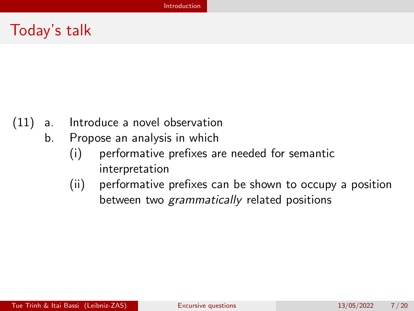### Today's talk

- (11) a. Introduce a novel observation
	- b. Propose an analysis in which
		- (i) performative prefixes are needed for semantic interpretation
		- (ii) performative prefixes can be shown to occupy a position between two grammatically related positions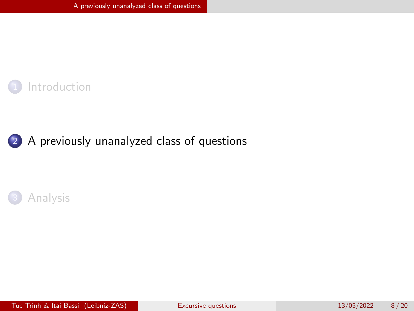<span id="page-8-0"></span>



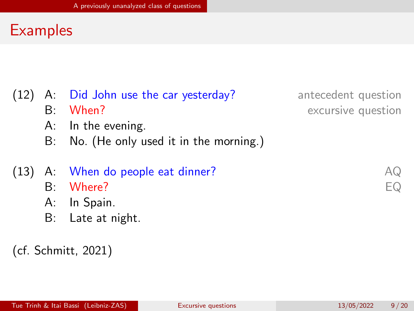### **Examples**

- (12) A: Did John use the car yesterday? antecedent question
	-
	- A: In the evening.
	- B: No. (He only used it in the morning.)

### (13) A: When do people eat dinner?  $A\mathbb{Q}$

- B: Where? EQ
- A: In Spain.
- B: Late at night.

#### (cf. [Schmitt, 2021](#page-22-7))

B: When? excursive question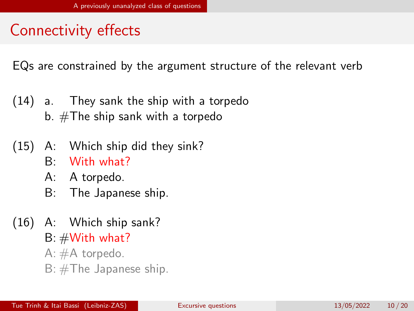# Connectivity effects

EQs are constrained by the argument structure of the relevant verb

- (14) a. They sank the ship with a torpedo b.  $\#\mathsf{The}$  ship sank with a torpedo
- (15) A: Which ship did they sink?
	- B: With what?
	- A: A torpedo.
	- B: The Japanese ship.
- (16) A: Which ship sank?
	- $B: #With what?$
	- A: #A torpedo.
	- $B: \# The Japanese ship.$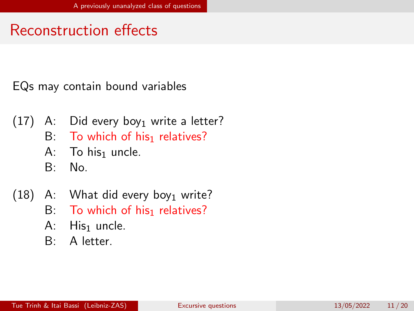# Reconstruction effects

EQs may contain bound variables

- $(17)$  A: Did every boy<sub>1</sub> write a letter?
	- B: To which of his<sub>1</sub> relatives?
	- A: To his<sub>1</sub> uncle.
	- B: No.
- $(18)$  A: What did every boy<sub>1</sub> write?
	- B: To which of his<sub>1</sub> relatives?
	- $A:$  His<sub>1</sub> uncle.
	- B: A letter.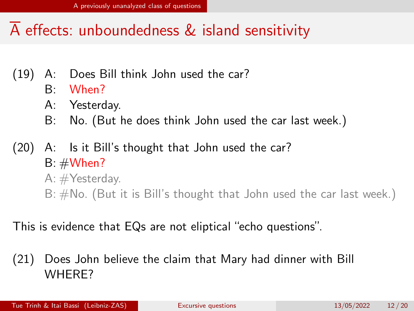# $\overline{A}$  effects: unboundedness & island sensitivity

- (19) A: Does Bill think John used the car?
	- B: When?
	- A: Yesterday.
	- B: No. (But he does think John used the car last week.)
- (20) A: Is it Bill's thought that John used the car?  $B: #When?$ A: #Yesterday. B: #No. (But it is Bill's thought that John used the car last week.)
- This is evidence that EQs are not eliptical "echo questions".
- (21) Does John believe the claim that Mary had dinner with Bill WHERE?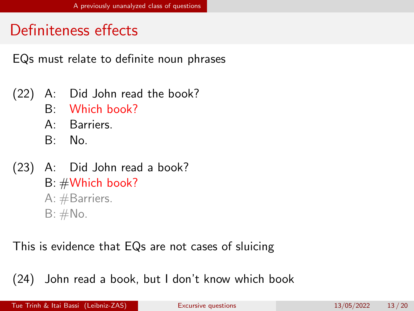# Definiteness effects

EQs must relate to definite noun phrases

- (22) A: Did John read the book?
	- B: Which book?
	- A: Barriers.
	- B: No.
- (23) A: Did John read a book? B: #Which book? A: #Barriers.  $B: \#No.$

This is evidence that EQs are not cases of sluicing

(24) John read a book, but I don't know which book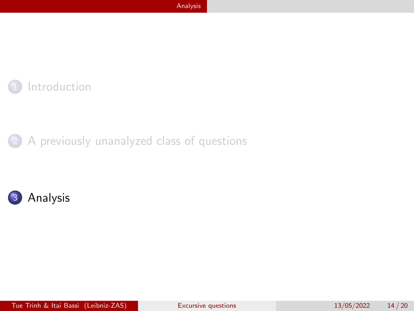<span id="page-14-0"></span>

2 [A previously unanalyzed class of questions](#page-8-0)

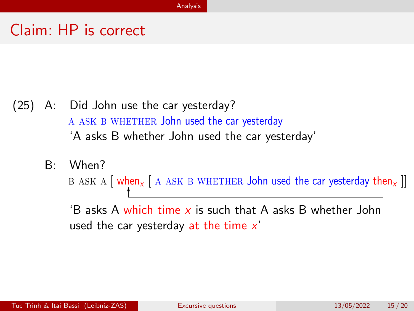### Claim: HP is correct

- (25) A: Did John use the car yesterday? A ASK B WHETHER John used the car yesterday 'A asks B whether John used the car yesterday'
	- B: When?

B ASK A  $\left[\right]$  when<sub>x</sub>  $\left[\right]$  A ASK B WHETHER John used the car yesterday then<sub>x</sub>  $\left[\right]$ 

'B asks A which time  $x$  is such that A asks B whether John used the car yesterday at the time  $x'$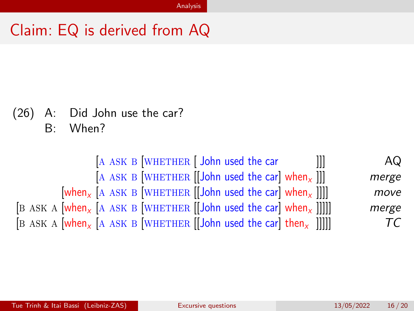### Claim: EQ is derived from AQ

(26) A: Did John use the car?

B: When?

 $[A \text{ ASK } B \text{ [WHERE }]$  John used the car  $[[]]$  AQ [A ASK B [WHETHER  $\left[\left|\text{John used the car}\right|$  when<sub>x</sub> ]]] merge  $[\text{when}_{x}$  [A ASK B [WHETHER [[John used the car] when<sub>x</sub> ]]]] move [B ASK A  $[when_x]$  [A ASK B  $[WHETHER]$ ] [John used the car] when<sub>x</sub> []]]] merge  $\begin{bmatrix} B & ASK \end{bmatrix}$  [A ASK B [WHETHER [[John used the car] then<sub>x</sub> []]]]  $TC$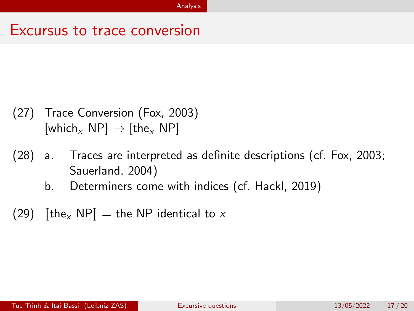### Excursus to trace conversion

- (27) Trace Conversion [\(Fox, 2003\)](#page-21-6) [which<sub>x</sub> NP]  $\rightarrow$  [the<sub>x</sub> NP]
- (28) a. Traces are interpreted as definite descriptions (cf. [Fox, 2003](#page-21-6); [Sauerland, 2004\)](#page-22-8)
	- b. Determiners come with indices (cf. [Hackl, 2019](#page-21-7))
- (29)  $\left[\[\text{the} \times \text{NP}\right] = \text{the NP}$  identical to x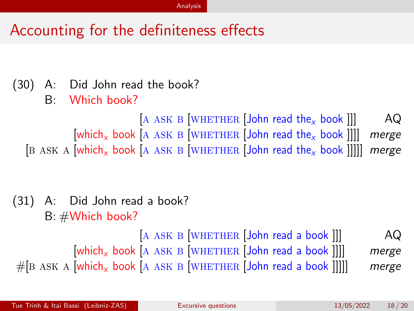## Accounting for the definiteness effects

- (30) A: Did John read the book?
	- B: Which book?

 $[A \text{ ASK } B]$  WHETHER  $[John \text{ read the } x \text{ book}]]$  AQ  $[\text{which}_x, \text{book}]$  a ask b  $[\text{WHERE}]$  John read the<sub>x</sub> book  $]$ ]] merge [B ASK A [which<sub>x</sub> book [A ASK B [WHETHER *[John read the<sub>x</sub> book ]]]]] merge* 

(31) A: Did John read a book? B: #Which book?

 $[A \text{ ASK } B \text{ [WHERE }]$ John read a book  $]]$   $AQ$  $[\text{which}_x \text{ book} \text{ [A } \text{ASK B} \text{ [WHERE }] \text{John read a book }]]]$  merge  $#$ [B ASK A [which<sub>x</sub> book [A ASK B [WHETHER *[John read a book ]]]]] merge*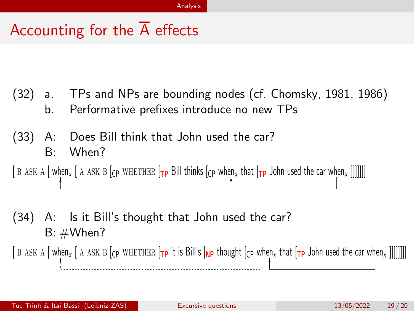# Accounting for the  $\overline{A}$  effects

- (32) a. TPs and NPs are bounding nodes (cf. [Chomsky, 1981,](#page-21-1) [1986](#page-21-2)) b. Performative prefixes introduce no new TPs
- (33) A: Does Bill think that John used the car? B: When?

[ B ASK A  $\lceil$  when<sub>x</sub>  $\lceil$  A ASK B  $\lceil$  (cp WHETHER  $\lceil$  **Tp** Bill thinks  $\lceil$  (cp when<sub>x</sub> that  $\lceil$  **Tp** John used the car when<sub>x</sub> ]]]]]]]]

(34) A: Is it Bill's thought that John used the car?  $B: #When?$ 

[ B ASK A [ when<sub>x</sub> [ A ASK B [cp WHETHER [Tp it is Bill's [Np thought [cp when<sub>x</sub> that [Tp John used the car when<sub>x</sub> ]]]]]]]]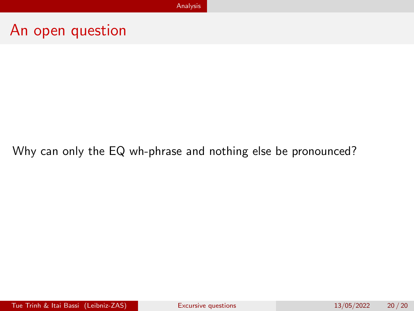### An open question

#### Why can only the EQ wh-phrase and nothing else be pronounced?

Tue Trinh & Itai Bassi (Leibniz-ZAS) and [Excursive questions](#page-0-0) 13/05/2022 20/20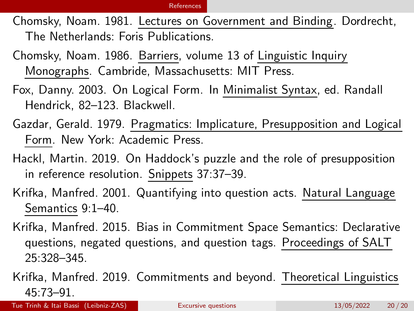#### [References](#page-21-8)

- <span id="page-21-8"></span><span id="page-21-1"></span>Chomsky, Noam. 1981. Lectures on Government and Binding. Dordrecht, The Netherlands: Foris Publications.
- <span id="page-21-2"></span>Chomsky, Noam. 1986. Barriers, volume 13 of Linguistic Inquiry Monographs. Cambride, Massachusetts: MIT Press.
- <span id="page-21-6"></span>Fox, Danny. 2003. On Logical Form. In Minimalist Syntax, ed. Randall Hendrick, 82–123. Blackwell.
- <span id="page-21-0"></span>Gazdar, Gerald. 1979. Pragmatics: Implicature, Presupposition and Logical Form. New York: Academic Press.
- <span id="page-21-7"></span>Hackl, Martin. 2019. On Haddock's puzzle and the role of presupposition in reference resolution. Snippets 37:37–39.
- <span id="page-21-3"></span>Krifka, Manfred. 2001. Quantifying into question acts. Natural Language Semantics 9:1–40.
- <span id="page-21-4"></span>Krifka, Manfred. 2015. Bias in Commitment Space Semantics: Declarative questions, negated questions, and question tags. Proceedings of SALT 25:328–345.
- <span id="page-21-5"></span>Krifka, Manfred. 2019. Commitments and beyond. Theoretical Linguistics 45:73–91.

Tue Trinh & Itai Bassi (Leibniz-ZAS) and [Excursive questions](#page-0-0) 13/05/2022 20/20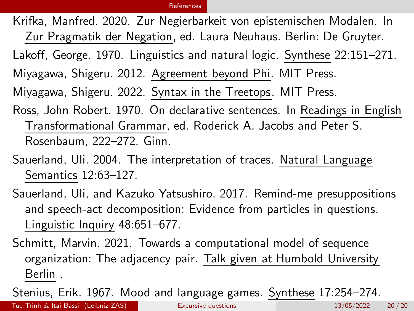#### [References](#page-21-8)

<span id="page-22-5"></span>Krifka, Manfred. 2020. Zur Negierbarkeit von epistemischen Modalen. In Zur Pragmatik der Negation, ed. Laura Neuhaus. Berlin: De Gruyter.

<span id="page-22-2"></span>Lakoff, George. 1970. Linguistics and natural logic. Synthese 22:151–271.

<span id="page-22-3"></span>Miyagawa, Shigeru. 2012. Agreement beyond Phi. MIT Press.

<span id="page-22-6"></span>Miyagawa, Shigeru. 2022. Syntax in the Treetops. MIT Press.

<span id="page-22-1"></span>Ross, John Robert. 1970. On declarative sentences. In Readings in English Transformational Grammar, ed. Roderick A. Jacobs and Peter S. Rosenbaum, 222–272. Ginn.

<span id="page-22-8"></span>Sauerland, Uli. 2004. The interpretation of traces. Natural Language Semantics 12:63–127.

<span id="page-22-4"></span>Sauerland, Uli, and Kazuko Yatsushiro. 2017. Remind-me presuppositions and speech-act decomposition: Evidence from particles in questions. Linguistic Inquiry 48:651–677.

<span id="page-22-7"></span>Schmitt, Marvin. 2021. Towards a computational model of sequence organization: The adjacency pair. Talk given at Humbold University Berlin .

<span id="page-22-0"></span>Stenius, Erik. 1967. Mood and language games. Synthese 17:254–274.

Tue Trinh & Itai Bassi (Leibniz-ZAS) and [Excursive questions](#page-0-0) 13/05/2022 20/20